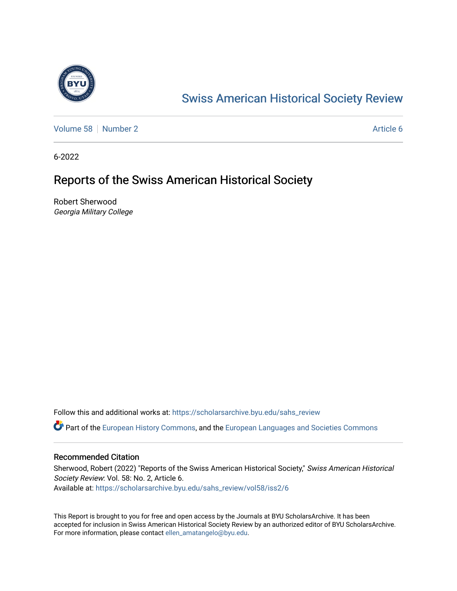

## [Swiss American Historical Society Review](https://scholarsarchive.byu.edu/sahs_review)

[Volume 58](https://scholarsarchive.byu.edu/sahs_review/vol58) [Number 2](https://scholarsarchive.byu.edu/sahs_review/vol58/iss2) Article 6

6-2022

## Reports of the Swiss American Historical Society

Robert Sherwood Georgia Military College

Follow this and additional works at: [https://scholarsarchive.byu.edu/sahs\\_review](https://scholarsarchive.byu.edu/sahs_review?utm_source=scholarsarchive.byu.edu%2Fsahs_review%2Fvol58%2Fiss2%2F6&utm_medium=PDF&utm_campaign=PDFCoverPages)

Part of the [European History Commons](https://network.bepress.com/hgg/discipline/492?utm_source=scholarsarchive.byu.edu%2Fsahs_review%2Fvol58%2Fiss2%2F6&utm_medium=PDF&utm_campaign=PDFCoverPages), and the [European Languages and Societies Commons](https://network.bepress.com/hgg/discipline/482?utm_source=scholarsarchive.byu.edu%2Fsahs_review%2Fvol58%2Fiss2%2F6&utm_medium=PDF&utm_campaign=PDFCoverPages)

## Recommended Citation

Sherwood, Robert (2022) "Reports of the Swiss American Historical Society," Swiss American Historical Society Review: Vol. 58: No. 2, Article 6. Available at: [https://scholarsarchive.byu.edu/sahs\\_review/vol58/iss2/6](https://scholarsarchive.byu.edu/sahs_review/vol58/iss2/6?utm_source=scholarsarchive.byu.edu%2Fsahs_review%2Fvol58%2Fiss2%2F6&utm_medium=PDF&utm_campaign=PDFCoverPages) 

This Report is brought to you for free and open access by the Journals at BYU ScholarsArchive. It has been accepted for inclusion in Swiss American Historical Society Review by an authorized editor of BYU ScholarsArchive. For more information, please contact [ellen\\_amatangelo@byu.edu.](mailto:ellen_amatangelo@byu.edu)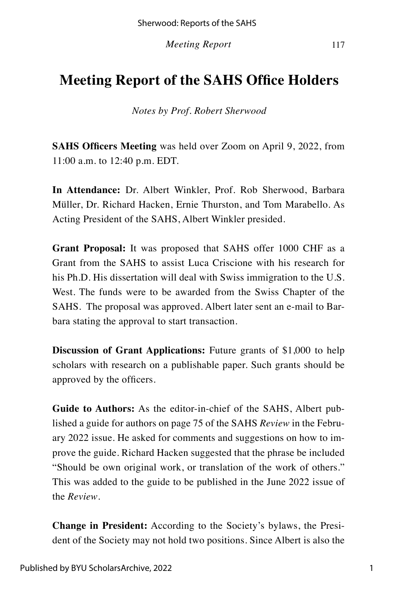*Meeting Report* 117

## **Meeting Report of the SAHS Office Holders**

*Notes by Prof. Robert Sherwood*

**SAHS Officers Meeting** was held over Zoom on April 9, 2022, from 11:00 a.m. to 12:40 p.m. EDT.

**In Attendance:** Dr. Albert Winkler, Prof. Rob Sherwood, Barbara Müller, Dr. Richard Hacken, Ernie Thurston, and Tom Marabello. As Acting President of the SAHS, Albert Winkler presided.

**Grant Proposal:** It was proposed that SAHS offer 1000 CHF as a Grant from the SAHS to assist Luca Criscione with his research for his Ph.D. His dissertation will deal with Swiss immigration to the U.S. West. The funds were to be awarded from the Swiss Chapter of the SAHS. The proposal was approved. Albert later sent an e-mail to Barbara stating the approval to start transaction.

**Discussion of Grant Applications:** Future grants of \$1,000 to help scholars with research on a publishable paper. Such grants should be approved by the officers.

**Guide to Authors:** As the editor-in-chief of the SAHS, Albert published a guide for authors on page 75 of the SAHS *Review* in the February 2022 issue. He asked for comments and suggestions on how to improve the guide. Richard Hacken suggested that the phrase be included "Should be own original work, or translation of the work of others." This was added to the guide to be published in the June 2022 issue of the *Review*.

**Change in President:** According to the Society's bylaws, the President of the Society may not hold two positions. Since Albert is also the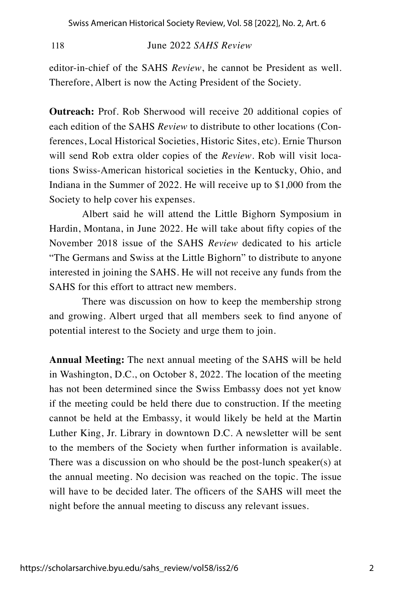118June 2022 *SAHS Review*

editor-in-chief of the SAHS *Review*, he cannot be President as well. Therefore, Albert is now the Acting President of the Society.

**Outreach:** Prof. Rob Sherwood will receive 20 additional copies of each edition of the SAHS *Review* to distribute to other locations (Conferences, Local Historical Societies, Historic Sites, etc). Ernie Thurson will send Rob extra older copies of the *Review*. Rob will visit locations Swiss-American historical societies in the Kentucky, Ohio, and Indiana in the Summer of 2022. He will receive up to \$1,000 from the Society to help cover his expenses.

Albert said he will attend the Little Bighorn Symposium in Hardin, Montana, in June 2022. He will take about fifty copies of the November 2018 issue of the SAHS *Review* dedicated to his article "The Germans and Swiss at the Little Bighorn" to distribute to anyone interested in joining the SAHS. He will not receive any funds from the SAHS for this effort to attract new members.

There was discussion on how to keep the membership strong and growing. Albert urged that all members seek to find anyone of potential interest to the Society and urge them to join.

**Annual Meeting:** The next annual meeting of the SAHS will be held in Washington, D.C., on October 8, 2022. The location of the meeting has not been determined since the Swiss Embassy does not yet know if the meeting could be held there due to construction. If the meeting cannot be held at the Embassy, it would likely be held at the Martin Luther King, Jr. Library in downtown D.C. A newsletter will be sent to the members of the Society when further information is available. There was a discussion on who should be the post-lunch speaker(s) at the annual meeting. No decision was reached on the topic. The issue will have to be decided later. The officers of the SAHS will meet the night before the annual meeting to discuss any relevant issues.